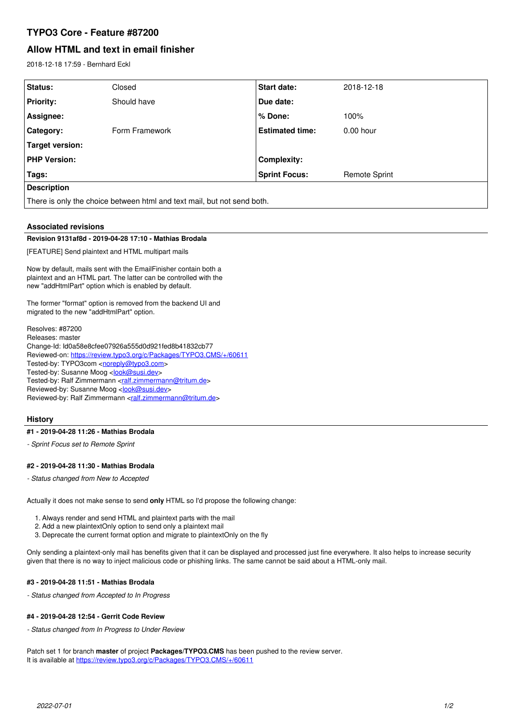# **TYPO3 Core - Feature #87200**

# **Allow HTML and text in email finisher**

2018-12-18 17:59 - Bernhard Eckl

| Closed         | <b>Start date:</b>     | 2018-12-18           |
|----------------|------------------------|----------------------|
| Should have    | Due date:              |                      |
|                | $%$ Done:              | 100%                 |
| Form Framework | <b>Estimated time:</b> | $0.00$ hour          |
|                |                        |                      |
|                | <b>Complexity:</b>     |                      |
|                | <b>Sprint Focus:</b>   | <b>Remote Sprint</b> |
|                |                        |                      |
|                |                        |                      |

There is only the choice between html and text mail, but not send both.

## **Associated revisions**

#### **Revision 9131af8d - 2019-04-28 17:10 - Mathias Brodala**

[FEATURE] Send plaintext and HTML multipart mails

Now by default, mails sent with the EmailFinisher contain both a plaintext and an HTML part. The latter can be controlled with the new "addHtmlPart" option which is enabled by default.

The former "format" option is removed from the backend UI and migrated to the new "addHtmlPart" option.

Resolves: #87200 Releases: master Change-Id: Id0a58e8cfee07926a555d0d921fed8b41832cb77 Reviewed-on:<https://review.typo3.org/c/Packages/TYPO3.CMS/+/60611> Tested-by: TYPO3com [<noreply@typo3.com>](mailto:noreply@typo3.com) Tested-by: Susanne Moog <[look@susi.dev](mailto:look@susi.dev)> Tested-by: Ralf Zimmermann <[ralf.zimmermann@tritum.de](mailto:ralf.zimmermann@tritum.de)> Reviewed-by: Susanne Moog <[look@susi.dev>](mailto:look@susi.dev) Reviewed-by: Ralf Zimmermann [<ralf.zimmermann@tritum.de](mailto:ralf.zimmermann@tritum.de)>

## **History**

#### **#1 - 2019-04-28 11:26 - Mathias Brodala**

*- Sprint Focus set to Remote Sprint*

#### **#2 - 2019-04-28 11:30 - Mathias Brodala**

*- Status changed from New to Accepted*

Actually it does not make sense to send **only** HTML so I'd propose the following change:

1. Always render and send HTML and plaintext parts with the mail

- 2. Add a new plaintextOnly option to send only a plaintext mail
- 3. Deprecate the current format option and migrate to plaintextOnly on the fly

Only sending a plaintext-only mail has benefits given that it can be displayed and processed just fine everywhere. It also helps to increase security given that there is no way to inject malicious code or phishing links. The same cannot be said about a HTML-only mail.

#### **#3 - 2019-04-28 11:51 - Mathias Brodala**

*- Status changed from Accepted to In Progress*

## **#4 - 2019-04-28 12:54 - Gerrit Code Review**

*- Status changed from In Progress to Under Review*

Patch set 1 for branch **master** of project **Packages/TYPO3.CMS** has been pushed to the review server. It is available at <https://review.typo3.org/c/Packages/TYPO3.CMS/+/60611>